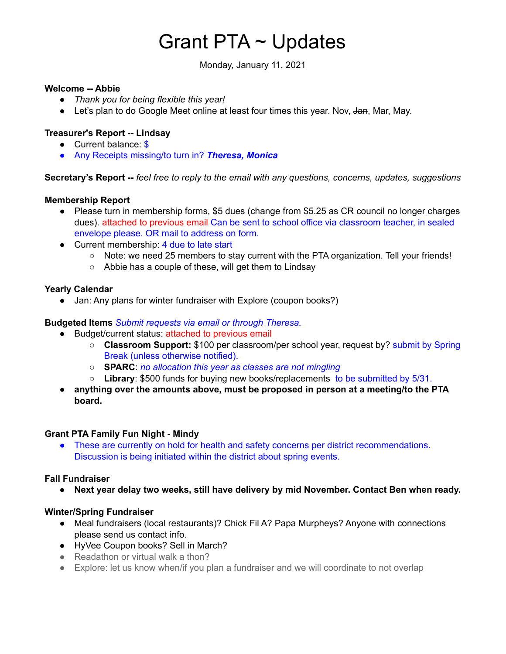# Grant PTA ~ Updates

Monday, January 11, 2021

#### **Welcome -- Abbie**

- *Thank you for being flexible this year!*
- Let's plan to do Google Meet online at least four times this year. Nov, Jan, Mar, May.

# **Treasurer's Report -- Lindsay**

- Current balance: \$
- Any Receipts missing/to turn in? *Theresa, Monica*

**Secretary's Report --** *feel free to reply to the email with any questions, concerns, updates, suggestions*

## **Membership Report**

- Please turn in membership forms, \$5 dues (change from \$5.25 as CR council no longer charges dues). attached to previous email Can be sent to school office via classroom teacher, in sealed envelope please. OR mail to address on form.
- Current membership: 4 due to late start
	- Note: we need 25 members to stay current with the PTA organization. Tell your friends!
	- Abbie has a couple of these, will get them to Lindsay

## **Yearly Calendar**

• Jan: Any plans for winter fundraiser with Explore (coupon books?)

#### **Budgeted Items** *Submit requests via email or through Theresa.*

- Budget/current status: attached to previous email
	- **Classroom Support:** \$100 per classroom/per school year, request by? submit by Spring Break (unless otherwise notified).
	- **SPARC**: *no allocation this year as classes are not mingling*
	- **Library**: \$500 funds for buying new books/replacements to be submitted by 5/31.
- **anything over the amounts above, must be proposed in person at a meeting/to the PTA board.**

#### **Grant PTA Family Fun Night - Mindy**

● These are currently on hold for health and safety concerns per district recommendations. Discussion is being initiated within the district about spring events.

#### **Fall Fundraiser**

**● Next year delay two weeks, still have delivery by mid November. Contact Ben when ready.**

#### **Winter/Spring Fundraiser**

- Meal fundraisers (local restaurants)? Chick Fil A? Papa Murpheys? Anyone with connections please send us contact info.
- HyVee Coupon books? Sell in March?
- $\bullet$  Readathon or virtual walk a thon?
- Explore: let us know when/if you plan a fundraiser and we will coordinate to not overlap